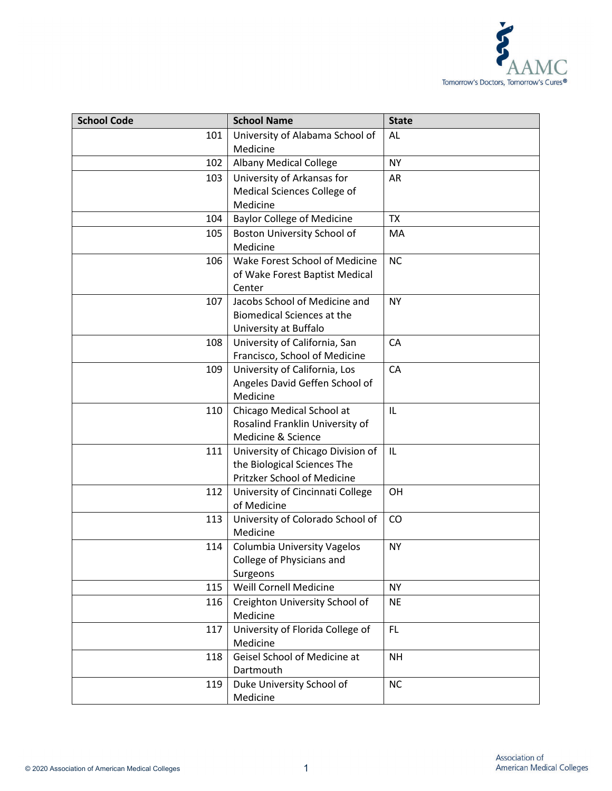

| <b>School Code</b> | <b>School Name</b>                                                                              | <b>State</b> |
|--------------------|-------------------------------------------------------------------------------------------------|--------------|
| 101                | University of Alabama School of<br>Medicine                                                     | AL           |
| 102                | <b>Albany Medical College</b>                                                                   | <b>NY</b>    |
| 103                | University of Arkansas for<br>Medical Sciences College of<br>Medicine                           | AR           |
| 104                | <b>Baylor College of Medicine</b>                                                               | <b>TX</b>    |
| 105                | Boston University School of<br>Medicine                                                         | МA           |
| 106                | Wake Forest School of Medicine<br>of Wake Forest Baptist Medical<br>Center                      | <b>NC</b>    |
| 107                | Jacobs School of Medicine and<br><b>Biomedical Sciences at the</b><br>University at Buffalo     | <b>NY</b>    |
| 108                | University of California, San<br>Francisco, School of Medicine                                  | CA           |
| 109                | University of California, Los<br>Angeles David Geffen School of<br>Medicine                     | CA           |
| 110                | Chicago Medical School at<br>Rosalind Franklin University of<br>Medicine & Science              | IL           |
| 111                | University of Chicago Division of<br>the Biological Sciences The<br>Pritzker School of Medicine | IL           |
| 112                | University of Cincinnati College<br>of Medicine                                                 | OH           |
| 113                | University of Colorado School of<br>Medicine                                                    | CO           |
| 114                | Columbia University Vagelos<br>College of Physicians and<br>Surgeons                            | <b>NY</b>    |
| 115                | Weill Cornell Medicine                                                                          | <b>NY</b>    |
| 116                | Creighton University School of<br>Medicine                                                      | <b>NE</b>    |
| 117                | University of Florida College of<br>Medicine                                                    | <b>FL</b>    |
| 118                | Geisel School of Medicine at<br>Dartmouth                                                       | <b>NH</b>    |
| 119                | Duke University School of<br>Medicine                                                           | <b>NC</b>    |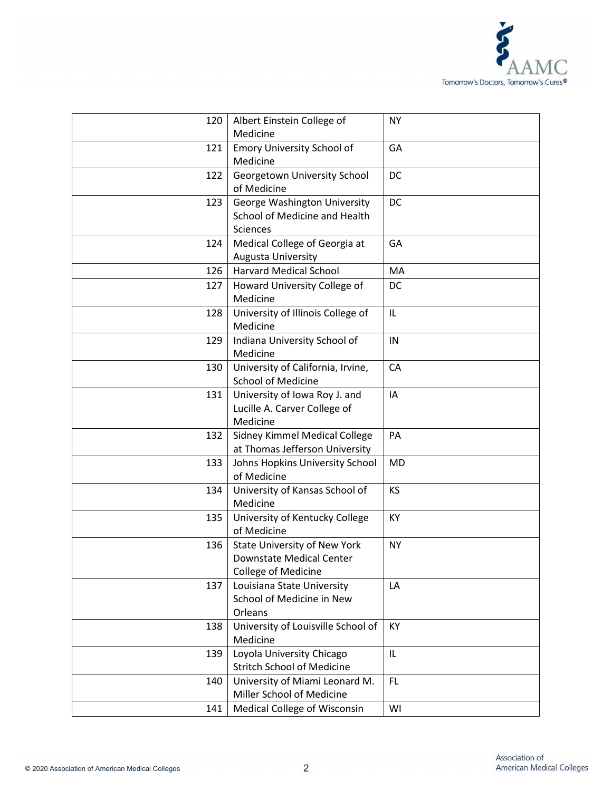

| 120 | Albert Einstein College of         | <b>NY</b> |
|-----|------------------------------------|-----------|
|     | Medicine                           |           |
| 121 | Emory University School of         | GA        |
|     | Medicine                           |           |
| 122 | Georgetown University School       | <b>DC</b> |
|     | of Medicine                        |           |
| 123 | George Washington University       | <b>DC</b> |
|     | School of Medicine and Health      |           |
|     | Sciences                           |           |
| 124 | Medical College of Georgia at      | GA        |
|     | <b>Augusta University</b>          |           |
| 126 | <b>Harvard Medical School</b>      | MA        |
| 127 | Howard University College of       | DC        |
|     | Medicine                           |           |
| 128 | University of Illinois College of  | IL        |
|     | Medicine                           |           |
| 129 | Indiana University School of       | IN        |
|     | Medicine                           |           |
| 130 | University of California, Irvine,  | CA        |
|     | <b>School of Medicine</b>          |           |
| 131 | University of Iowa Roy J. and      | IA        |
|     | Lucille A. Carver College of       |           |
|     | Medicine                           |           |
| 132 | Sidney Kimmel Medical College      | PA        |
|     | at Thomas Jefferson University     |           |
| 133 | Johns Hopkins University School    | <b>MD</b> |
|     | of Medicine                        |           |
| 134 | University of Kansas School of     | <b>KS</b> |
|     | Medicine                           |           |
| 135 | University of Kentucky College     | KY        |
|     | of Medicine                        |           |
| 136 | State University of New York       | <b>NY</b> |
|     | Downstate Medical Center           |           |
|     | <b>College of Medicine</b>         |           |
| 137 | Louisiana State University         | LA        |
|     | School of Medicine in New          |           |
|     | Orleans                            |           |
| 138 | University of Louisville School of | KY        |
|     | Medicine                           |           |
| 139 | Loyola University Chicago          | IL        |
|     | <b>Stritch School of Medicine</b>  |           |
| 140 | University of Miami Leonard M.     | <b>FL</b> |
|     | Miller School of Medicine          |           |
| 141 | Medical College of Wisconsin       | WI        |
|     |                                    |           |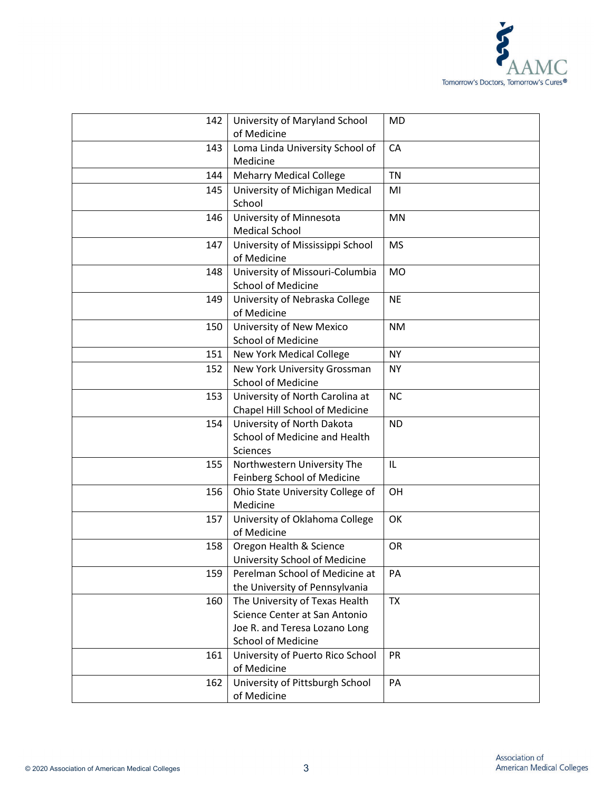

| 142 | University of Maryland School<br>of Medicine                                                                                  | MD        |
|-----|-------------------------------------------------------------------------------------------------------------------------------|-----------|
| 143 | Loma Linda University School of<br>Medicine                                                                                   | CA        |
| 144 | <b>Meharry Medical College</b>                                                                                                | <b>TN</b> |
| 145 | University of Michigan Medical<br>School                                                                                      | MI        |
| 146 | University of Minnesota<br><b>Medical School</b>                                                                              | <b>MN</b> |
| 147 | University of Mississippi School<br>of Medicine                                                                               | <b>MS</b> |
| 148 | University of Missouri-Columbia<br><b>School of Medicine</b>                                                                  | <b>MO</b> |
| 149 | University of Nebraska College<br>of Medicine                                                                                 | <b>NE</b> |
| 150 | University of New Mexico<br><b>School of Medicine</b>                                                                         | <b>NM</b> |
| 151 | <b>New York Medical College</b>                                                                                               | <b>NY</b> |
| 152 | New York University Grossman<br><b>School of Medicine</b>                                                                     | <b>NY</b> |
| 153 | University of North Carolina at<br>Chapel Hill School of Medicine                                                             | <b>NC</b> |
| 154 | University of North Dakota<br>School of Medicine and Health<br>Sciences                                                       | <b>ND</b> |
| 155 | Northwestern University The<br>Feinberg School of Medicine                                                                    | IL        |
| 156 | Ohio State University College of<br>Medicine                                                                                  | OH        |
| 157 | University of Oklahoma College<br>of Medicine                                                                                 | OK        |
| 158 | Oregon Health & Science<br>University School of Medicine                                                                      | OR        |
| 159 | Perelman School of Medicine at<br>the University of Pennsylvania                                                              | PA        |
| 160 | The University of Texas Health<br>Science Center at San Antonio<br>Joe R. and Teresa Lozano Long<br><b>School of Medicine</b> | <b>TX</b> |
| 161 | University of Puerto Rico School<br>of Medicine                                                                               | PR        |
| 162 | University of Pittsburgh School<br>of Medicine                                                                                | PA        |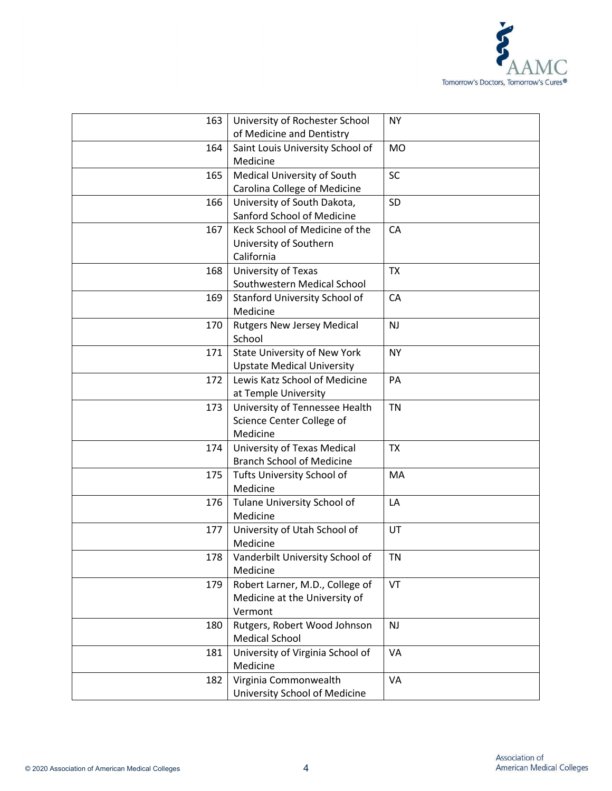

| 163 | University of Rochester School<br>of Medicine and Dentistry                 | <b>NY</b> |
|-----|-----------------------------------------------------------------------------|-----------|
| 164 | Saint Louis University School of<br>Medicine                                | <b>MO</b> |
| 165 | Medical University of South<br>Carolina College of Medicine                 | <b>SC</b> |
| 166 | University of South Dakota,<br>Sanford School of Medicine                   | SD        |
| 167 | Keck School of Medicine of the<br>University of Southern<br>California      | CA        |
| 168 | University of Texas<br>Southwestern Medical School                          | <b>TX</b> |
| 169 | Stanford University School of<br>Medicine                                   | CA        |
| 170 | <b>Rutgers New Jersey Medical</b><br>School                                 | <b>NJ</b> |
| 171 | State University of New York<br><b>Upstate Medical University</b>           | <b>NY</b> |
| 172 | Lewis Katz School of Medicine<br>at Temple University                       | PA        |
| 173 | University of Tennessee Health<br>Science Center College of<br>Medicine     | <b>TN</b> |
| 174 | University of Texas Medical<br><b>Branch School of Medicine</b>             | <b>TX</b> |
| 175 | Tufts University School of<br>Medicine                                      | MA        |
| 176 | Tulane University School of<br>Medicine                                     | LA        |
| 177 | University of Utah School of<br>Medicine                                    | UT        |
| 178 | Vanderbilt University School of<br>Medicine                                 | <b>TN</b> |
| 179 | Robert Larner, M.D., College of<br>Medicine at the University of<br>Vermont | VT        |
| 180 | Rutgers, Robert Wood Johnson<br><b>Medical School</b>                       | NJ        |
| 181 | University of Virginia School of<br>Medicine                                | VA        |
| 182 | Virginia Commonwealth<br>University School of Medicine                      | VA        |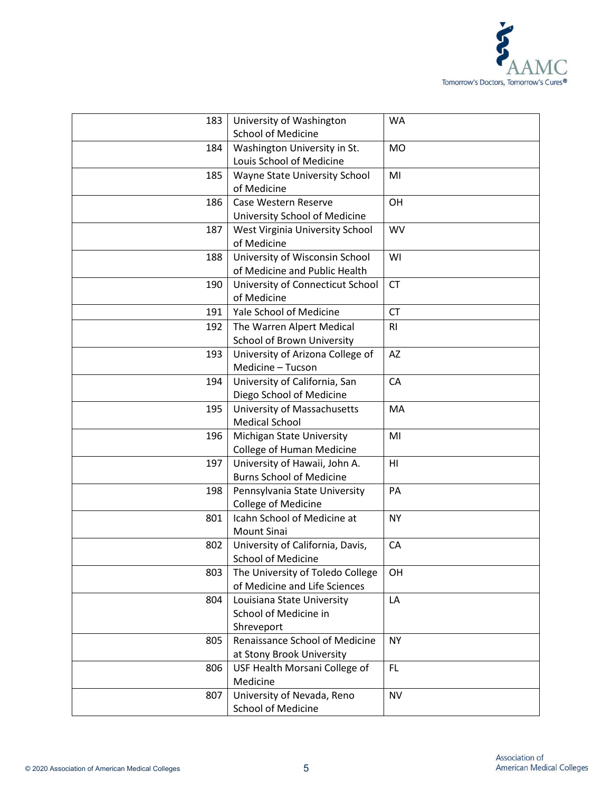

| 183 | University of Washington<br><b>School of Medicine</b>             | <b>WA</b>      |
|-----|-------------------------------------------------------------------|----------------|
| 184 | Washington University in St.                                      | <b>MO</b>      |
|     | Louis School of Medicine                                          |                |
| 185 | Wayne State University School                                     | MI             |
|     | of Medicine                                                       |                |
| 186 | Case Western Reserve                                              | OH             |
|     | University School of Medicine                                     |                |
| 187 | West Virginia University School                                   | <b>WV</b>      |
|     | of Medicine                                                       |                |
| 188 | University of Wisconsin School                                    | WI             |
|     | of Medicine and Public Health                                     |                |
| 190 | University of Connecticut School                                  | <b>CT</b>      |
|     | of Medicine                                                       |                |
| 191 | Yale School of Medicine                                           | <b>CT</b>      |
| 192 | The Warren Alpert Medical                                         | R <sub>l</sub> |
|     | <b>School of Brown University</b>                                 |                |
| 193 | University of Arizona College of                                  | AZ             |
|     | Medicine - Tucson                                                 |                |
| 194 | University of California, San                                     | <b>CA</b>      |
|     | Diego School of Medicine                                          |                |
| 195 | University of Massachusetts                                       | MA             |
|     | <b>Medical School</b>                                             |                |
| 196 | Michigan State University                                         | MI             |
|     | College of Human Medicine                                         |                |
| 197 | University of Hawaii, John A.                                     | H <sub>l</sub> |
|     | <b>Burns School of Medicine</b>                                   |                |
| 198 | Pennsylvania State University                                     | PA             |
|     | College of Medicine                                               |                |
| 801 | Icahn School of Medicine at                                       | <b>NY</b>      |
|     | <b>Mount Sinai</b>                                                |                |
| 802 | University of California, Davis,                                  | CA             |
|     | School of Medicine                                                |                |
| 803 | The University of Toledo College<br>of Medicine and Life Sciences | <b>OH</b>      |
| 804 | Louisiana State University                                        | LA             |
|     | School of Medicine in                                             |                |
|     | Shreveport                                                        |                |
| 805 | Renaissance School of Medicine                                    | NY.            |
|     | at Stony Brook University                                         |                |
| 806 | USF Health Morsani College of                                     | FL.            |
|     | Medicine                                                          |                |
| 807 | University of Nevada, Reno                                        | <b>NV</b>      |
|     | <b>School of Medicine</b>                                         |                |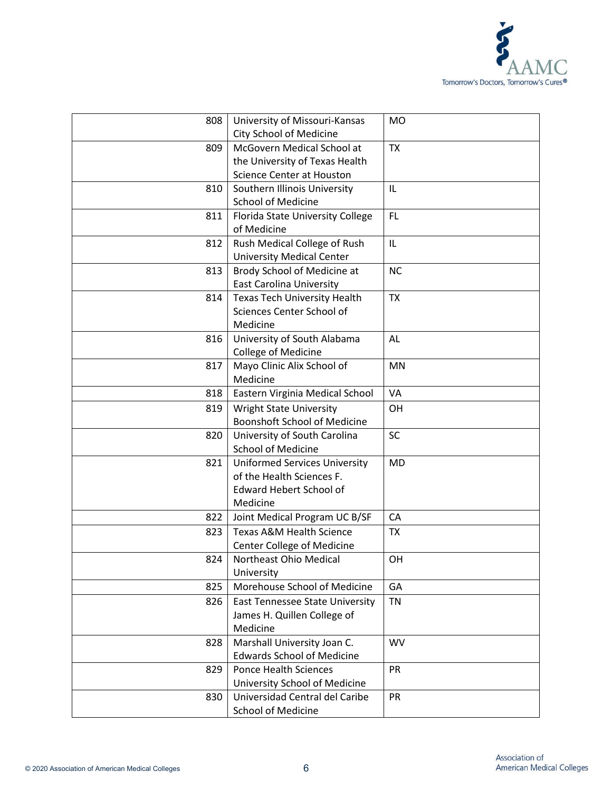

| 808 | University of Missouri-Kansas          | <b>MO</b> |
|-----|----------------------------------------|-----------|
|     | City School of Medicine                |           |
| 809 | McGovern Medical School at             | <b>TX</b> |
|     | the University of Texas Health         |           |
|     | Science Center at Houston              |           |
| 810 | Southern Illinois University           | IL        |
|     | <b>School of Medicine</b>              |           |
| 811 | Florida State University College       | <b>FL</b> |
|     | of Medicine                            |           |
| 812 | Rush Medical College of Rush           | IL        |
|     | <b>University Medical Center</b>       |           |
| 813 | Brody School of Medicine at            | <b>NC</b> |
|     | <b>East Carolina University</b>        |           |
| 814 | <b>Texas Tech University Health</b>    | <b>TX</b> |
|     | Sciences Center School of              |           |
|     | Medicine                               |           |
| 816 | University of South Alabama            | AL        |
|     | College of Medicine                    |           |
| 817 | Mayo Clinic Alix School of             | <b>MN</b> |
|     | Medicine                               |           |
| 818 | Eastern Virginia Medical School        | <b>VA</b> |
| 819 | <b>Wright State University</b>         | OH        |
|     | <b>Boonshoft School of Medicine</b>    |           |
| 820 | University of South Carolina           | <b>SC</b> |
|     | <b>School of Medicine</b>              |           |
| 821 | <b>Uniformed Services University</b>   | <b>MD</b> |
|     | of the Health Sciences F.              |           |
|     | <b>Edward Hebert School of</b>         |           |
|     | Medicine                               |           |
| 822 | Joint Medical Program UC B/SF          | CA        |
| 823 | <b>Texas A&amp;M Health Science</b>    | <b>TX</b> |
|     | Center College of Medicine             |           |
| 824 | Northeast Ohio Medical                 | OH        |
|     | University                             |           |
| 825 | Morehouse School of Medicine           | GA        |
| 826 | <b>East Tennessee State University</b> | <b>TN</b> |
|     | James H. Quillen College of            |           |
|     | Medicine                               |           |
| 828 | Marshall University Joan C.            | <b>WV</b> |
|     | <b>Edwards School of Medicine</b>      |           |
| 829 | <b>Ponce Health Sciences</b>           | PR        |
|     | University School of Medicine          |           |
| 830 | Universidad Central del Caribe         | PR        |
|     | <b>School of Medicine</b>              |           |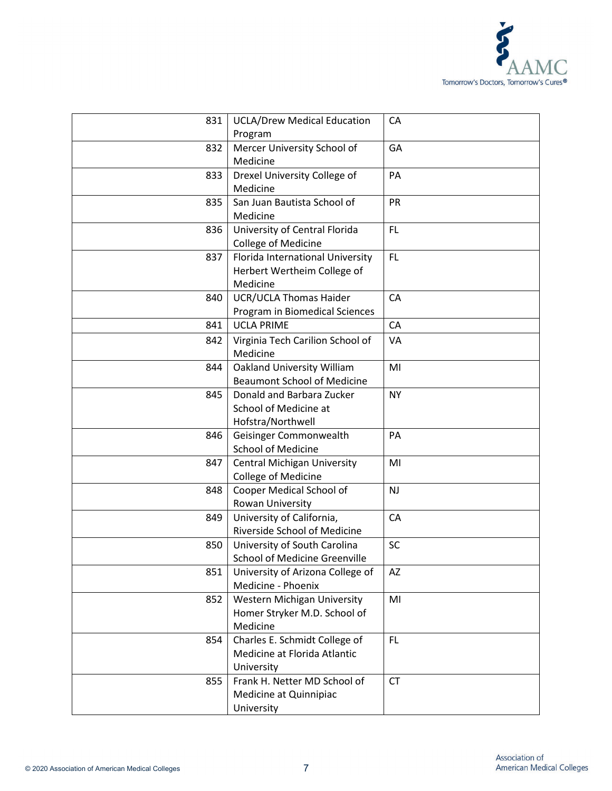

| 831 | <b>UCLA/Drew Medical Education</b><br>Program | CA        |
|-----|-----------------------------------------------|-----------|
| 832 | Mercer University School of                   | GA        |
|     | Medicine                                      |           |
| 833 | Drexel University College of                  | PA        |
|     | Medicine                                      |           |
| 835 | San Juan Bautista School of                   | PR        |
|     | Medicine                                      |           |
| 836 | University of Central Florida                 | FL        |
|     | College of Medicine                           |           |
| 837 | Florida International University              | <b>FL</b> |
|     | Herbert Wertheim College of                   |           |
|     | Medicine                                      |           |
| 840 | <b>UCR/UCLA Thomas Haider</b>                 | CA        |
|     | Program in Biomedical Sciences                |           |
| 841 | <b>UCLA PRIME</b>                             | CA        |
| 842 | Virginia Tech Carilion School of              | VA        |
|     | Medicine                                      |           |
| 844 | <b>Oakland University William</b>             | MI        |
|     | <b>Beaumont School of Medicine</b>            |           |
| 845 | Donald and Barbara Zucker                     | NY.       |
|     | School of Medicine at                         |           |
|     | Hofstra/Northwell                             |           |
| 846 | Geisinger Commonwealth                        | PA        |
|     | <b>School of Medicine</b>                     |           |
| 847 | <b>Central Michigan University</b>            | MI        |
|     | College of Medicine                           |           |
| 848 | Cooper Medical School of                      | <b>NJ</b> |
|     | Rowan University                              |           |
| 849 | University of California,                     | CA        |
|     | Riverside School of Medicine                  |           |
| 850 | University of South Carolina                  | SC        |
|     | <b>School of Medicine Greenville</b>          |           |
| 851 | University of Arizona College of              | AZ        |
|     | Medicine - Phoenix                            |           |
| 852 | Western Michigan University                   | MI        |
|     | Homer Stryker M.D. School of                  |           |
|     | Medicine                                      |           |
| 854 | Charles E. Schmidt College of                 | FL.       |
|     | Medicine at Florida Atlantic                  |           |
|     | University                                    |           |
| 855 | Frank H. Netter MD School of                  | <b>CT</b> |
|     | Medicine at Quinnipiac                        |           |
|     | University                                    |           |